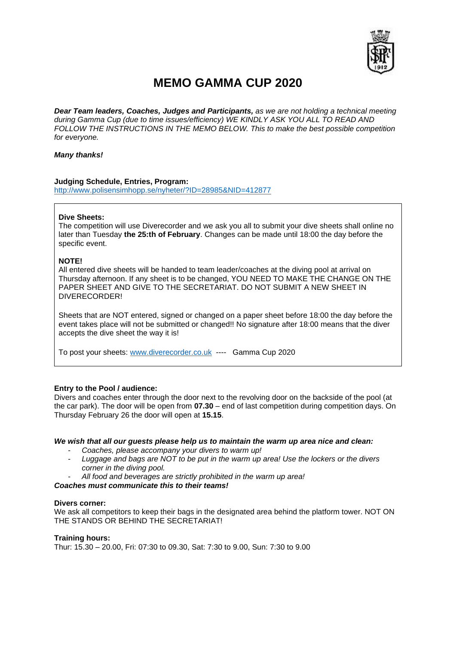

# **MEMO GAMMA CUP 2020**

*Dear Team leaders, Coaches, Judges and Participants, as we are not holding a technical meeting during Gamma Cup (due to time issues/efficiency) WE KINDLY ASK YOU ALL TO READ AND FOLLOW THE INSTRUCTIONS IN THE MEMO BELOW. This to make the best possible competition for everyone.* 

## *Many thanks!*

# **Judging Schedule, Entries, Program:**

<http://www.polisensimhopp.se/nyheter/?ID=28985&NID=412877>

# **Dive Sheets:**

The competition will use Diverecorder and we ask you all to submit your dive sheets shall online no later than Tuesday **the 25:th of February**. Changes can be made until 18:00 the day before the specific event.

# **NOTE!**

All entered dive sheets will be handed to team leader/coaches at the diving pool at arrival on Thursday afternoon. If any sheet is to be changed, YOU NEED TO MAKE THE CHANGE ON THE PAPER SHEET AND GIVE TO THE SECRETARIAT. DO NOT SUBMIT A NEW SHEET IN DIVERECORDER!

Sheets that are NOT entered, signed or changed on a paper sheet before 18:00 the day before the event takes place will not be submitted or changed!! No signature after 18:00 means that the diver accepts the dive sheet the way it is!

To post your sheets: [www.diverecorder.co.uk](http://www.diverecorder.co.uk/) ---- Gamma Cup 2020

#### **Entry to the Pool / audience:**

Divers and coaches enter through the door next to the revolving door on the backside of the pool (at the car park). The door will be open from **07.30** – end of last competition during competition days. On Thursday February 26 the door will open at **15.15**.

#### *We wish that all our guests please help us to maintain the warm up area nice and clean:*

- *Coaches, please accompany your divers to warm up!*
- *Luggage and bags are NOT to be put in the warm up area! Use the lockers or the divers corner in the diving pool.*
- *All food and beverages are strictly prohibited in the warm up area!*

## *Coaches must communicate this to their teams!*

#### **Divers corner:**

We ask all competitors to keep their bags in the designated area behind the platform tower. NOT ON THE STANDS OR BEHIND THE SECRETARIAT!

#### **Training hours:**

Thur: 15.30 – 20.00, Fri: 07:30 to 09.30, Sat: 7:30 to 9.00, Sun: 7:30 to 9.00